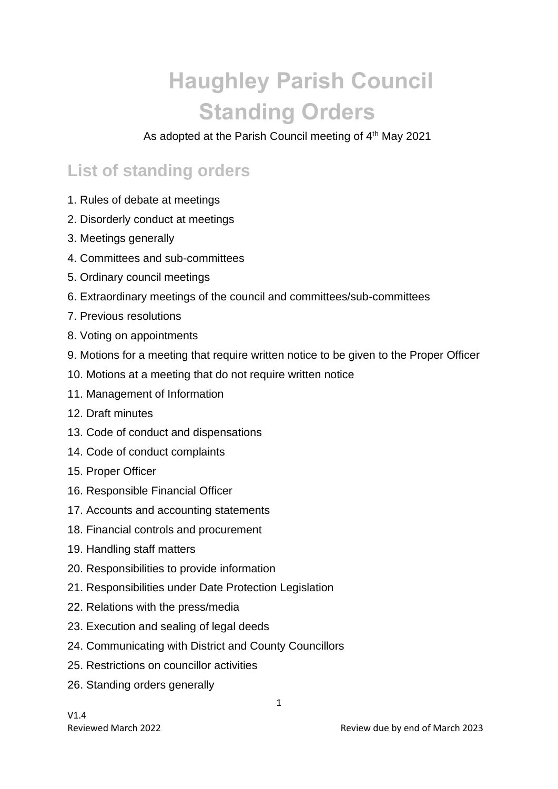# **Haughley Parish Council Standing Orders**

As adopted at the Parish Council meeting of 4<sup>th</sup> May 2021

#### **List of standing orders**

- 1. Rules of debate at meetings
- 2. Disorderly conduct at meetings
- 3. Meetings generally
- 4. Committees and sub-committees
- 5. Ordinary council meetings
- 6. Extraordinary meetings of the council and committees/sub-committees
- 7. Previous resolutions
- 8. Voting on appointments
- 9. Motions for a meeting that require written notice to be given to the Proper Officer
- 10. Motions at a meeting that do not require written notice
- 11. Management of Information
- 12. Draft minutes
- 13. Code of conduct and dispensations
- 14. Code of conduct complaints
- 15. Proper Officer
- 16. Responsible Financial Officer
- 17. Accounts and accounting statements
- 18. Financial controls and procurement
- 19. Handling staff matters
- 20. Responsibilities to provide information
- 21. Responsibilities under Date Protection Legislation
- 22. Relations with the press/media
- 23. Execution and sealing of legal deeds
- 24. Communicating with District and County Councillors
- 25. Restrictions on councillor activities
- 26. Standing orders generally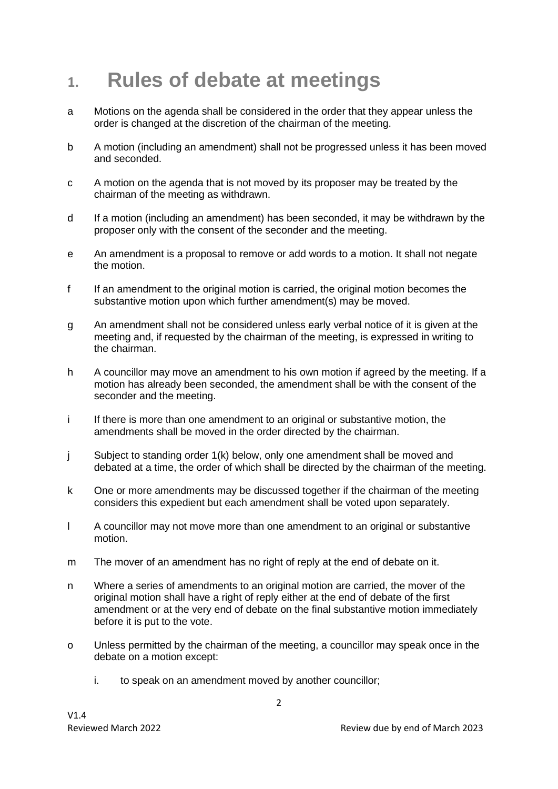#### **1. Rules of debate at meetings**

- a Motions on the agenda shall be considered in the order that they appear unless the order is changed at the discretion of the chairman of the meeting.
- b A motion (including an amendment) shall not be progressed unless it has been moved and seconded.
- c A motion on the agenda that is not moved by its proposer may be treated by the chairman of the meeting as withdrawn.
- d If a motion (including an amendment) has been seconded, it may be withdrawn by the proposer only with the consent of the seconder and the meeting.
- e An amendment is a proposal to remove or add words to a motion. It shall not negate the motion.
- f If an amendment to the original motion is carried, the original motion becomes the substantive motion upon which further amendment(s) may be moved.
- g An amendment shall not be considered unless early verbal notice of it is given at the meeting and, if requested by the chairman of the meeting, is expressed in writing to the chairman.
- h A councillor may move an amendment to his own motion if agreed by the meeting. If a motion has already been seconded, the amendment shall be with the consent of the seconder and the meeting.
- i If there is more than one amendment to an original or substantive motion, the amendments shall be moved in the order directed by the chairman.
- j Subject to standing order 1(k) below, only one amendment shall be moved and debated at a time, the order of which shall be directed by the chairman of the meeting.
- k One or more amendments may be discussed together if the chairman of the meeting considers this expedient but each amendment shall be voted upon separately.
- l A councillor may not move more than one amendment to an original or substantive motion.
- m The mover of an amendment has no right of reply at the end of debate on it.
- n Where a series of amendments to an original motion are carried, the mover of the original motion shall have a right of reply either at the end of debate of the first amendment or at the very end of debate on the final substantive motion immediately before it is put to the vote.
- o Unless permitted by the chairman of the meeting, a councillor may speak once in the debate on a motion except:
	- i. to speak on an amendment moved by another councillor;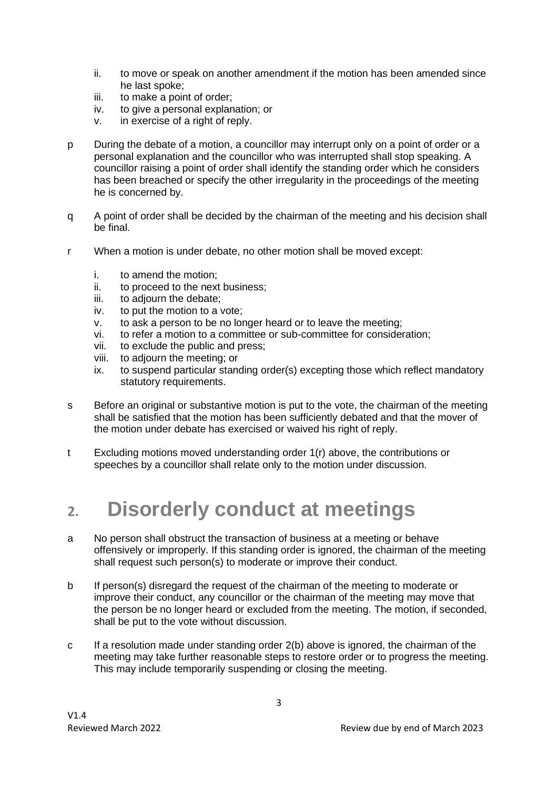- ii. to move or speak on another amendment if the motion has been amended since he last spoke;
- iii. to make a point of order;
- iv. to give a personal explanation; or
- v. in exercise of a right of reply.
- p During the debate of a motion, a councillor may interrupt only on a point of order or a personal explanation and the councillor who was interrupted shall stop speaking. A councillor raising a point of order shall identify the standing order which he considers has been breached or specify the other irregularity in the proceedings of the meeting he is concerned by.
- q A point of order shall be decided by the chairman of the meeting and his decision shall be final.
- r When a motion is under debate, no other motion shall be moved except:
	- i. to amend the motion;
	- ii. to proceed to the next business;
	- iii. to adjourn the debate;
	- iv. to put the motion to a vote;
	- v. to ask a person to be no longer heard or to leave the meeting;
	- vi. to refer a motion to a committee or sub-committee for consideration;
	- vii. to exclude the public and press;
	- viii. to adjourn the meeting; or
	- ix. to suspend particular standing order(s) excepting those which reflect mandatory statutory requirements.
- s Before an original or substantive motion is put to the vote, the chairman of the meeting shall be satisfied that the motion has been sufficiently debated and that the mover of the motion under debate has exercised or waived his right of reply.
- t Excluding motions moved understanding order 1(r) above, the contributions or speeches by a councillor shall relate only to the motion under discussion.

#### **2. Disorderly conduct at meetings**

- a No person shall obstruct the transaction of business at a meeting or behave offensively or improperly. If this standing order is ignored, the chairman of the meeting shall request such person(s) to moderate or improve their conduct.
- b If person(s) disregard the request of the chairman of the meeting to moderate or improve their conduct, any councillor or the chairman of the meeting may move that the person be no longer heard or excluded from the meeting. The motion, if seconded, shall be put to the vote without discussion.
- c If a resolution made under standing order 2(b) above is ignored, the chairman of the meeting may take further reasonable steps to restore order or to progress the meeting. This may include temporarily suspending or closing the meeting.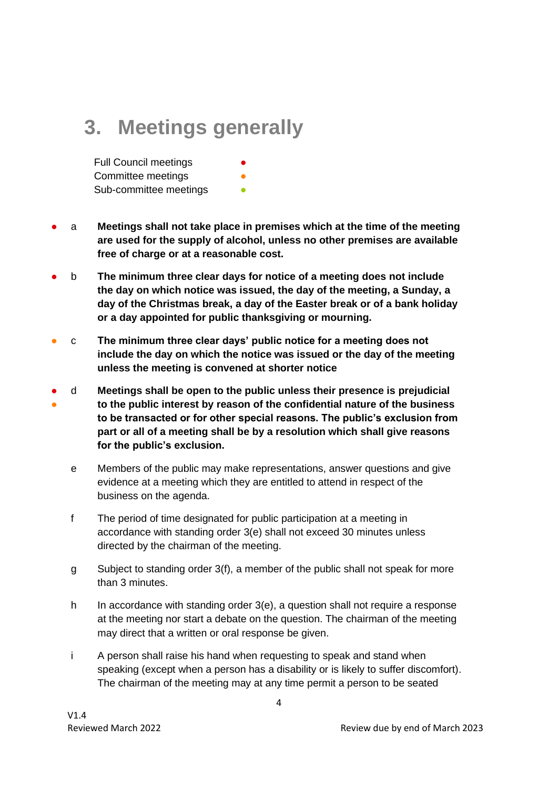#### **3. Meetings generally**

**Full Council meetings** Committee meetings Sub-committee meetings **•** 

- a **Meetings shall not take place in premises which at the time of the meeting are used for the supply of alcohol, unless no other premises are available free of charge or at a reasonable cost.**
- b **The minimum three clear days for notice of a meeting does not include the day on which notice was issued, the day of the meeting, a Sunday, a day of the Christmas break, a day of the Easter break or of a bank holiday or a day appointed for public thanksgiving or mourning.**
- c **The minimum three clear days' public notice for a meeting does not include the day on which the notice was issued or the day of the meeting unless the meeting is convened at shorter notice**
- ● d **Meetings shall be open to the public unless their presence is prejudicial to the public interest by reason of the confidential nature of the business to be transacted or for other special reasons. The public's exclusion from part or all of a meeting shall be by a resolution which shall give reasons for the public's exclusion.**
	- e Members of the public may make representations, answer questions and give evidence at a meeting which they are entitled to attend in respect of the business on the agenda.
	- f The period of time designated for public participation at a meeting in accordance with standing order 3(e) shall not exceed 30 minutes unless directed by the chairman of the meeting.
	- g Subject to standing order 3(f), a member of the public shall not speak for more than 3 minutes.
	- h In accordance with standing order 3(e), a question shall not require a response at the meeting nor start a debate on the question. The chairman of the meeting may direct that a written or oral response be given.
	- i A person shall raise his hand when requesting to speak and stand when speaking (except when a person has a disability or is likely to suffer discomfort). The chairman of the meeting may at any time permit a person to be seated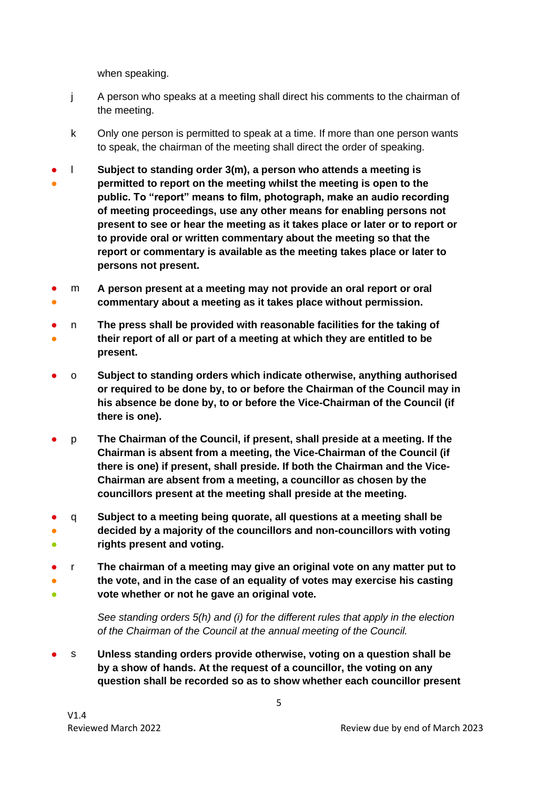when speaking.

- j A person who speaks at a meeting shall direct his comments to the chairman of the meeting.
- k Only one person is permitted to speak at a time. If more than one person wants to speak, the chairman of the meeting shall direct the order of speaking.
- ● l **Subject to standing order 3(m), a person who attends a meeting is permitted to report on the meeting whilst the meeting is open to the public. To "report" means to film, photograph, make an audio recording of meeting proceedings, use any other means for enabling persons not present to see or hear the meeting as it takes place or later or to report or to provide oral or written commentary about the meeting so that the report or commentary is available as the meeting takes place or later to persons not present.**
- ● m **A person present at a meeting may not provide an oral report or oral commentary about a meeting as it takes place without permission.**
- ● n **The press shall be provided with reasonable facilities for the taking of their report of all or part of a meeting at which they are entitled to be present.**
- o **Subject to standing orders which indicate otherwise, anything authorised or required to be done by, to or before the Chairman of the Council may in his absence be done by, to or before the Vice-Chairman of the Council (if there is one).**
- p **The Chairman of the Council, if present, shall preside at a meeting. If the Chairman is absent from a meeting, the Vice-Chairman of the Council (if there is one) if present, shall preside. If both the Chairman and the Vice-Chairman are absent from a meeting, a councillor as chosen by the councillors present at the meeting shall preside at the meeting.**
- ● ● q **Subject to a meeting being quorate, all questions at a meeting shall be decided by a majority of the councillors and non-councillors with voting rights present and voting.**
- ● ● r **The chairman of a meeting may give an original vote on any matter put to the vote, and in the case of an equality of votes may exercise his casting vote whether or not he gave an original vote.**

*See standing orders 5(h) and (i) for the different rules that apply in the election of the Chairman of the Council at the annual meeting of the Council.*

● s **Unless standing orders provide otherwise, voting on a question shall be by a show of hands. At the request of a councillor, the voting on any question shall be recorded so as to show whether each councillor present**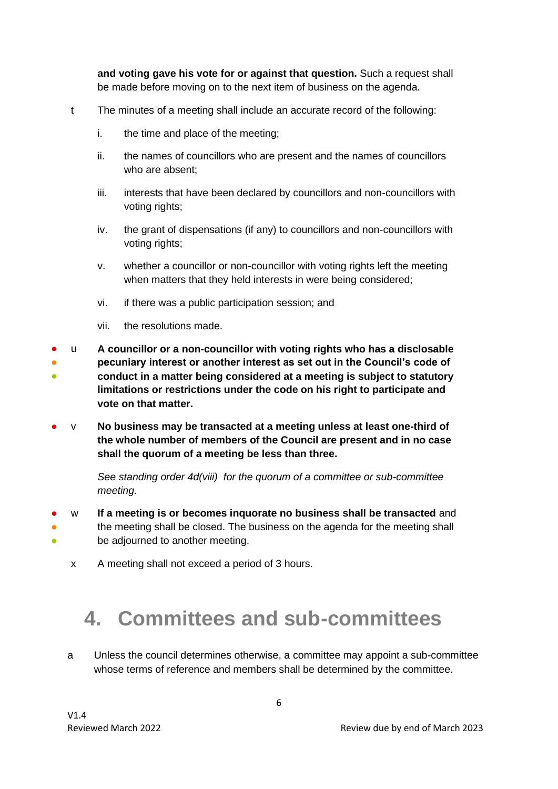**and voting gave his vote for or against that question.** Such a request shall be made before moving on to the next item of business on the agenda.

- t The minutes of a meeting shall include an accurate record of the following:
	- i. the time and place of the meeting;
	- ii. the names of councillors who are present and the names of councillors who are absent;
	- iii. interests that have been declared by councillors and non-councillors with voting rights;
	- iv. the grant of dispensations (if any) to councillors and non-councillors with voting rights:
	- v. whether a councillor or non-councillor with voting rights left the meeting when matters that they held interests in were being considered;
	- vi. if there was a public participation session; and
	- vii. the resolutions made.
- ● ● u **A councillor or a non-councillor with voting rights who has a disclosable pecuniary interest or another interest as set out in the Council's code of conduct in a matter being considered at a meeting is subject to statutory limitations or restrictions under the code on his right to participate and vote on that matter.**
- v **No business may be transacted at a meeting unless at least one-third of the whole number of members of the Council are present and in no case shall the quorum of a meeting be less than three.**

*See standing order 4d(viii) for the quorum of a committee or sub-committee meeting.* 

- ● ● w **If a meeting is or becomes inquorate no business shall be transacted** and the meeting shall be closed. The business on the agenda for the meeting shall be adjourned to another meeting.
	- x A meeting shall not exceed a period of 3 hours.

#### **4. Committees and sub-committees**

a Unless the council determines otherwise, a committee may appoint a sub-committee whose terms of reference and members shall be determined by the committee.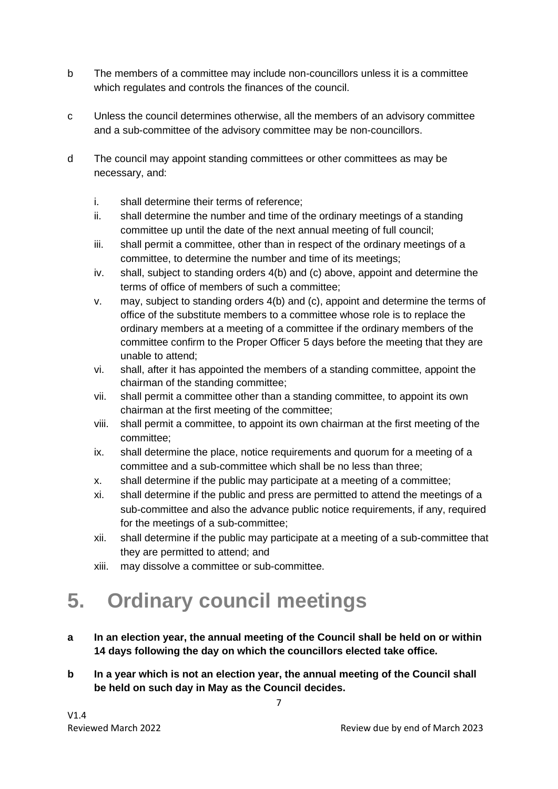- b The members of a committee may include non-councillors unless it is a committee which regulates and controls the finances of the council.
- c Unless the council determines otherwise, all the members of an advisory committee and a sub-committee of the advisory committee may be non-councillors.
- d The council may appoint standing committees or other committees as may be necessary, and:
	- i. shall determine their terms of reference;
	- ii. shall determine the number and time of the ordinary meetings of a standing committee up until the date of the next annual meeting of full council;
	- iii. shall permit a committee, other than in respect of the ordinary meetings of a committee, to determine the number and time of its meetings;
	- iv. shall, subject to standing orders 4(b) and (c) above, appoint and determine the terms of office of members of such a committee;
	- v. may, subject to standing orders 4(b) and (c), appoint and determine the terms of office of the substitute members to a committee whose role is to replace the ordinary members at a meeting of a committee if the ordinary members of the committee confirm to the Proper Officer 5 days before the meeting that they are unable to attend;
	- vi. shall, after it has appointed the members of a standing committee, appoint the chairman of the standing committee;
	- vii. shall permit a committee other than a standing committee, to appoint its own chairman at the first meeting of the committee;
	- viii. shall permit a committee, to appoint its own chairman at the first meeting of the committee;
	- ix. shall determine the place, notice requirements and quorum for a meeting of a committee and a sub-committee which shall be no less than three;
	- x. shall determine if the public may participate at a meeting of a committee;
	- xi. shall determine if the public and press are permitted to attend the meetings of a sub-committee and also the advance public notice requirements, if any, required for the meetings of a sub-committee;
	- xii. shall determine if the public may participate at a meeting of a sub-committee that they are permitted to attend; and
	- xiii. may dissolve a committee or sub-committee.

### **5. Ordinary council meetings**

- **a In an election year, the annual meeting of the Council shall be held on or within 14 days following the day on which the councillors elected take office.**
- **b In a year which is not an election year, the annual meeting of the Council shall be held on such day in May as the Council decides.**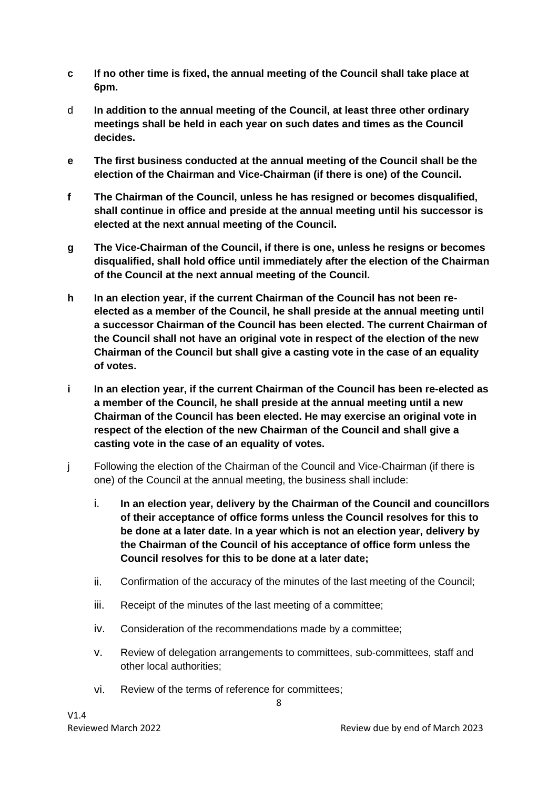- **c If no other time is fixed, the annual meeting of the Council shall take place at 6pm.**
- d **In addition to the annual meeting of the Council, at least three other ordinary meetings shall be held in each year on such dates and times as the Council decides.**
- **e The first business conducted at the annual meeting of the Council shall be the election of the Chairman and Vice-Chairman (if there is one) of the Council.**
- **f The Chairman of the Council, unless he has resigned or becomes disqualified, shall continue in office and preside at the annual meeting until his successor is elected at the next annual meeting of the Council.**
- **g The Vice-Chairman of the Council, if there is one, unless he resigns or becomes disqualified, shall hold office until immediately after the election of the Chairman of the Council at the next annual meeting of the Council.**
- **h In an election year, if the current Chairman of the Council has not been reelected as a member of the Council, he shall preside at the annual meeting until a successor Chairman of the Council has been elected. The current Chairman of the Council shall not have an original vote in respect of the election of the new Chairman of the Council but shall give a casting vote in the case of an equality of votes.**
- **i In an election year, if the current Chairman of the Council has been re-elected as a member of the Council, he shall preside at the annual meeting until a new Chairman of the Council has been elected. He may exercise an original vote in respect of the election of the new Chairman of the Council and shall give a casting vote in the case of an equality of votes.**
- j Following the election of the Chairman of the Council and Vice-Chairman (if there is one) of the Council at the annual meeting, the business shall include:
	- i. **In an election year, delivery by the Chairman of the Council and councillors of their acceptance of office forms unless the Council resolves for this to be done at a later date. In a year which is not an election year, delivery by the Chairman of the Council of his acceptance of office form unless the Council resolves for this to be done at a later date;**
	- ii. Confirmation of the accuracy of the minutes of the last meeting of the Council;
	- iii. Receipt of the minutes of the last meeting of a committee;
	- iv. Consideration of the recommendations made by a committee;
	- v. Review of delegation arrangements to committees, sub-committees, staff and other local authorities;
	- vi. Review of the terms of reference for committees;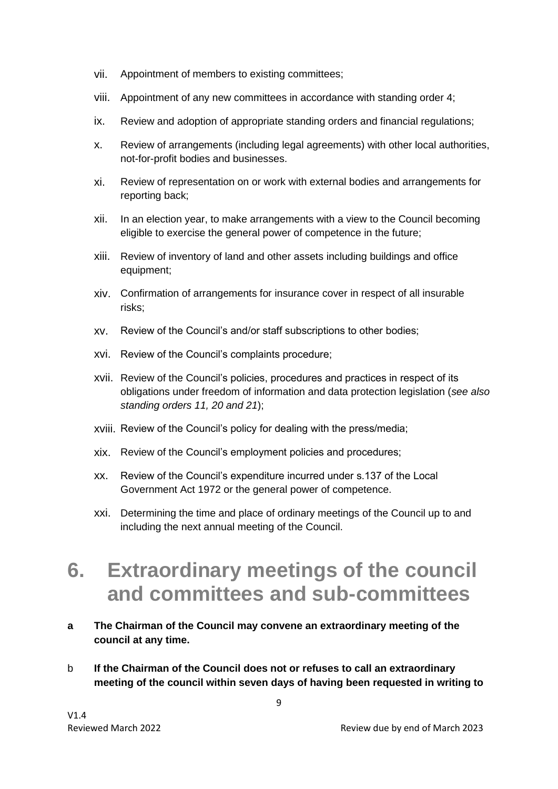- vii. Appointment of members to existing committees;
- viii. Appointment of any new committees in accordance with standing order 4;
- ix. Review and adoption of appropriate standing orders and financial regulations;
- x. Review of arrangements (including legal agreements) with other local authorities, not-for-profit bodies and businesses.
- xi. Review of representation on or work with external bodies and arrangements for reporting back;
- xii. In an election year, to make arrangements with a view to the Council becoming eligible to exercise the general power of competence in the future;
- xiii. Review of inventory of land and other assets including buildings and office equipment;
- xiv. Confirmation of arrangements for insurance cover in respect of all insurable risks;
- xv. Review of the Council's and/or staff subscriptions to other bodies;
- xvi. Review of the Council's complaints procedure;
- xvii. Review of the Council's policies, procedures and practices in respect of its obligations under freedom of information and data protection legislation (*see also standing orders 11, 20 and 21*);
- xviii. Review of the Council's policy for dealing with the press/media;
- xix. Review of the Council's employment policies and procedures;
- xx. Review of the Council's expenditure incurred under s.137 of the Local Government Act 1972 or the general power of competence.
- xxi. Determining the time and place of ordinary meetings of the Council up to and including the next annual meeting of the Council.

#### **6. Extraordinary meetings of the council and committees and sub-committees**

- **a The Chairman of the Council may convene an extraordinary meeting of the council at any time.**
- b **If the Chairman of the Council does not or refuses to call an extraordinary meeting of the council within seven days of having been requested in writing to**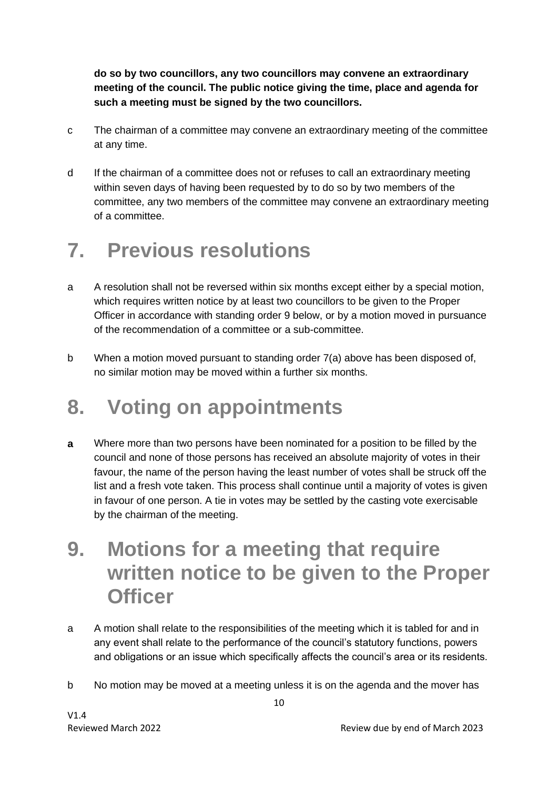**do so by two councillors, any two councillors may convene an extraordinary meeting of the council. The public notice giving the time, place and agenda for such a meeting must be signed by the two councillors.**

- c The chairman of a committee may convene an extraordinary meeting of the committee at any time.
- d If the chairman of a committee does not or refuses to call an extraordinary meeting within seven days of having been requested by to do so by two members of the committee, any two members of the committee may convene an extraordinary meeting of a committee.

### **7. Previous resolutions**

- a A resolution shall not be reversed within six months except either by a special motion, which requires written notice by at least two councillors to be given to the Proper Officer in accordance with standing order 9 below, or by a motion moved in pursuance of the recommendation of a committee or a sub-committee.
- b When a motion moved pursuant to standing order 7(a) above has been disposed of, no similar motion may be moved within a further six months.

#### **8. Voting on appointments**

- **a** Where more than two persons have been nominated for a position to be filled by the council and none of those persons has received an absolute majority of votes in their favour, the name of the person having the least number of votes shall be struck off the list and a fresh vote taken. This process shall continue until a majority of votes is given in favour of one person. A tie in votes may be settled by the casting vote exercisable by the chairman of the meeting.
- **9. Motions for a meeting that require written notice to be given to the Proper Officer**
- a A motion shall relate to the responsibilities of the meeting which it is tabled for and in any event shall relate to the performance of the council's statutory functions, powers and obligations or an issue which specifically affects the council's area or its residents.
- b No motion may be moved at a meeting unless it is on the agenda and the mover has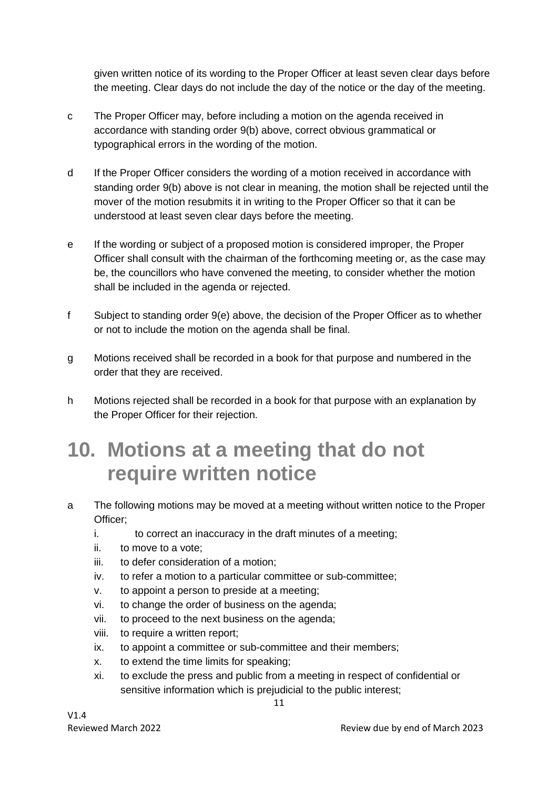given written notice of its wording to the Proper Officer at least seven clear days before the meeting. Clear days do not include the day of the notice or the day of the meeting.

- c The Proper Officer may, before including a motion on the agenda received in accordance with standing order 9(b) above, correct obvious grammatical or typographical errors in the wording of the motion.
- d If the Proper Officer considers the wording of a motion received in accordance with standing order 9(b) above is not clear in meaning, the motion shall be rejected until the mover of the motion resubmits it in writing to the Proper Officer so that it can be understood at least seven clear days before the meeting.
- e If the wording or subject of a proposed motion is considered improper, the Proper Officer shall consult with the chairman of the forthcoming meeting or, as the case may be, the councillors who have convened the meeting, to consider whether the motion shall be included in the agenda or rejected.
- f Subject to standing order 9(e) above, the decision of the Proper Officer as to whether or not to include the motion on the agenda shall be final.
- g Motions received shall be recorded in a book for that purpose and numbered in the order that they are received.
- h Motions rejected shall be recorded in a book for that purpose with an explanation by the Proper Officer for their rejection.

#### **10. Motions at a meeting that do not require written notice**

- a The following motions may be moved at a meeting without written notice to the Proper Officer;
	- i. to correct an inaccuracy in the draft minutes of a meeting;
	- ii. to move to a vote;
	- iii. to defer consideration of a motion;
	- iv. to refer a motion to a particular committee or sub-committee;
	- v. to appoint a person to preside at a meeting;
	- vi. to change the order of business on the agenda;
	- vii. to proceed to the next business on the agenda;
	- viii. to require a written report;
	- ix. to appoint a committee or sub-committee and their members;
	- x. to extend the time limits for speaking;
	- xi. to exclude the press and public from a meeting in respect of confidential or sensitive information which is prejudicial to the public interest;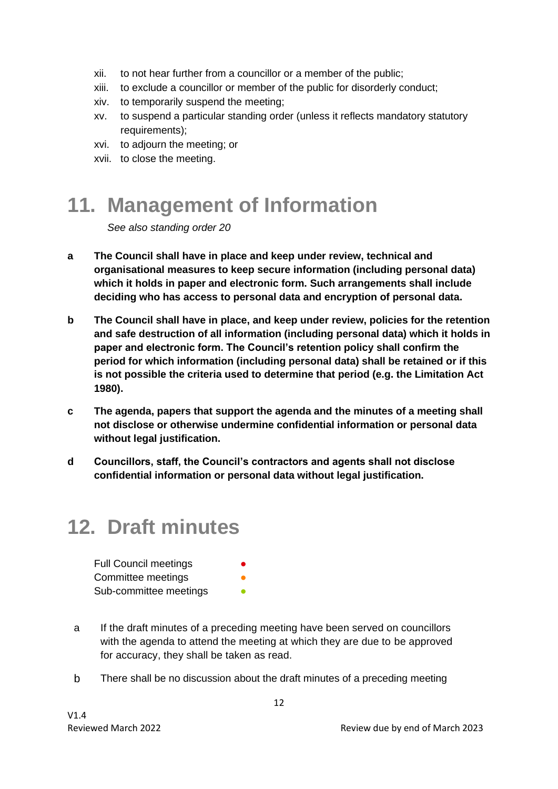- xii. to not hear further from a councillor or a member of the public;
- xiii. to exclude a councillor or member of the public for disorderly conduct;
- xiv. to temporarily suspend the meeting;
- xv. to suspend a particular standing order (unless it reflects mandatory statutory requirements);
- xvi. to adjourn the meeting; or
- xvii. to close the meeting.

### **11. Management of Information**

*See also standing order 20*

- **a The Council shall have in place and keep under review, technical and organisational measures to keep secure information (including personal data) which it holds in paper and electronic form. Such arrangements shall include deciding who has access to personal data and encryption of personal data.**
- **b The Council shall have in place, and keep under review, policies for the retention and safe destruction of all information (including personal data) which it holds in paper and electronic form. The Council's retention policy shall confirm the period for which information (including personal data) shall be retained or if this is not possible the criteria used to determine that period (e.g. the Limitation Act 1980).**
- **c The agenda, papers that support the agenda and the minutes of a meeting shall not disclose or otherwise undermine confidential information or personal data without legal justification.**
- **d Councillors, staff, the Council's contractors and agents shall not disclose confidential information or personal data without legal justification.**

### **12. Draft minutes**

| <b>Full Council meetings</b> | $\bullet$ |
|------------------------------|-----------|
| Committee meetings           | ●         |
| Sub-committee meetings       | ●         |

- a If the draft minutes of a preceding meeting have been served on councillors with the agenda to attend the meeting at which they are due to be approved for accuracy, they shall be taken as read.
- b There shall be no discussion about the draft minutes of a preceding meeting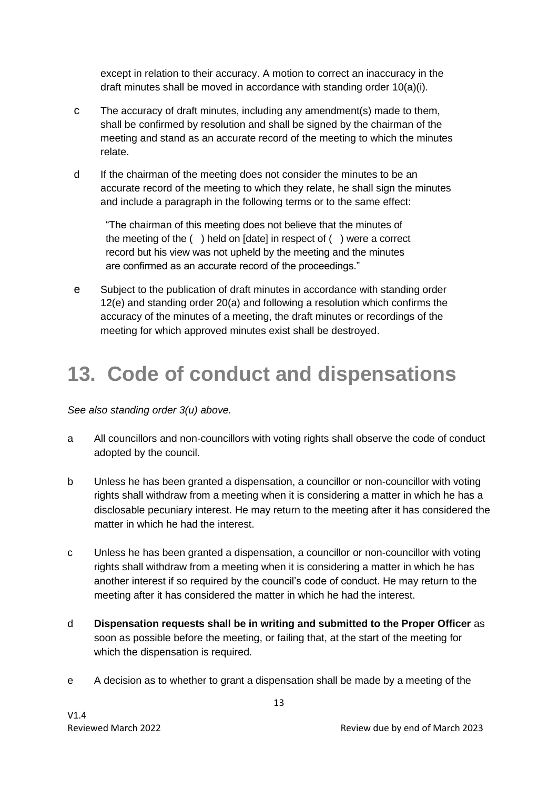except in relation to their accuracy. A motion to correct an inaccuracy in the draft minutes shall be moved in accordance with standing order 10(a)(i).

- c The accuracy of draft minutes, including any amendment(s) made to them, shall be confirmed by resolution and shall be signed by the chairman of the meeting and stand as an accurate record of the meeting to which the minutes relate.
- d If the chairman of the meeting does not consider the minutes to be an accurate record of the meeting to which they relate, he shall sign the minutes and include a paragraph in the following terms or to the same effect:

"The chairman of this meeting does not believe that the minutes of the meeting of the ( ) held on [date] in respect of ( ) were a correct record but his view was not upheld by the meeting and the minutes are confirmed as an accurate record of the proceedings."

e Subject to the publication of draft minutes in accordance with standing order 12(e) and standing order 20(a) and following a resolution which confirms the accuracy of the minutes of a meeting, the draft minutes or recordings of the meeting for which approved minutes exist shall be destroyed.

#### **13. Code of conduct and dispensations**

*See also standing order 3(u) above.* 

- a All councillors and non-councillors with voting rights shall observe the code of conduct adopted by the council.
- b Unless he has been granted a dispensation, a councillor or non-councillor with voting rights shall withdraw from a meeting when it is considering a matter in which he has a disclosable pecuniary interest. He may return to the meeting after it has considered the matter in which he had the interest.
- c Unless he has been granted a dispensation, a councillor or non-councillor with voting rights shall withdraw from a meeting when it is considering a matter in which he has another interest if so required by the council's code of conduct. He may return to the meeting after it has considered the matter in which he had the interest.
- d **Dispensation requests shall be in writing and submitted to the Proper Officer** as soon as possible before the meeting, or failing that, at the start of the meeting for which the dispensation is required.
- e A decision as to whether to grant a dispensation shall be made by a meeting of the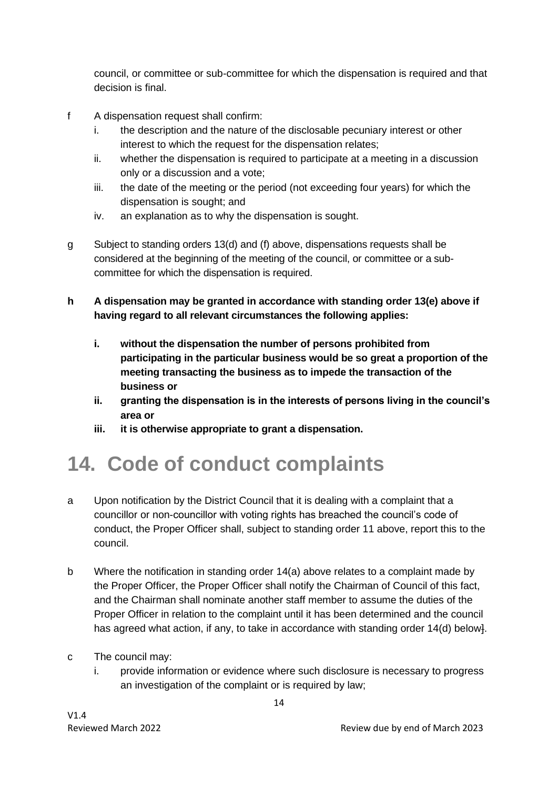council, or committee or sub-committee for which the dispensation is required and that decision is final.

- f A dispensation request shall confirm:
	- i. the description and the nature of the disclosable pecuniary interest or other interest to which the request for the dispensation relates;
	- ii. whether the dispensation is required to participate at a meeting in a discussion only or a discussion and a vote;
	- iii. the date of the meeting or the period (not exceeding four years) for which the dispensation is sought; and
	- iv. an explanation as to why the dispensation is sought.
- g Subject to standing orders 13(d) and (f) above, dispensations requests shall be considered at the beginning of the meeting of the council, or committee or a subcommittee for which the dispensation is required.
- **h A dispensation may be granted in accordance with standing order 13(e) above if having regard to all relevant circumstances the following applies:**
	- **i. without the dispensation the number of persons prohibited from participating in the particular business would be so great a proportion of the meeting transacting the business as to impede the transaction of the business or**
	- **ii. granting the dispensation is in the interests of persons living in the council's area or**
	- **iii. it is otherwise appropriate to grant a dispensation.**

### **14. Code of conduct complaints**

- a Upon notification by the District Council that it is dealing with a complaint that a councillor or non-councillor with voting rights has breached the council's code of conduct, the Proper Officer shall, subject to standing order 11 above, report this to the council.
- b Where the notification in standing order 14(a) above relates to a complaint made by the Proper Officer, the Proper Officer shall notify the Chairman of Council of this fact, and the Chairman shall nominate another staff member to assume the duties of the Proper Officer in relation to the complaint until it has been determined and the council has agreed what action, if any, to take in accordance with standing order 14(d) below}.
- c The council may:
	- i. provide information or evidence where such disclosure is necessary to progress an investigation of the complaint or is required by law;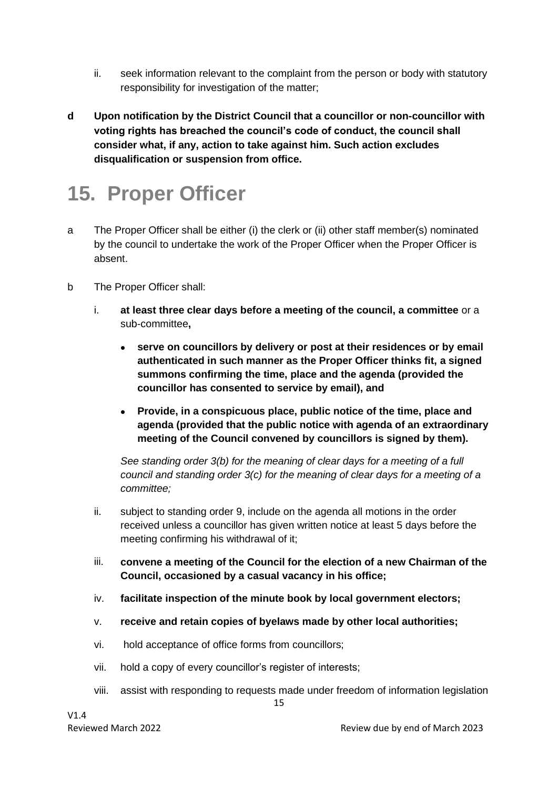- ii. seek information relevant to the complaint from the person or body with statutory responsibility for investigation of the matter;
- **d Upon notification by the District Council that a councillor or non-councillor with voting rights has breached the council's code of conduct, the council shall consider what, if any, action to take against him. Such action excludes disqualification or suspension from office.**

### **15. Proper Officer**

- a The Proper Officer shall be either (i) the clerk or (ii) other staff member(s) nominated by the council to undertake the work of the Proper Officer when the Proper Officer is absent.
- b The Proper Officer shall:
	- i. **at least three clear days before a meeting of the council, a committee** or a sub-committee**,**
		- **serve on councillors by delivery or post at their residences or by email authenticated in such manner as the Proper Officer thinks fit, a signed summons confirming the time, place and the agenda (provided the councillor has consented to service by email), and**
		- **Provide, in a conspicuous place, public notice of the time, place and agenda (provided that the public notice with agenda of an extraordinary meeting of the Council convened by councillors is signed by them).**

*See standing order 3(b) for the meaning of clear days for a meeting of a full council and standing order 3(c) for the meaning of clear days for a meeting of a committee;*

- ii. subject to standing order 9, include on the agenda all motions in the order received unless a councillor has given written notice at least 5 days before the meeting confirming his withdrawal of it;
- iii. **convene a meeting of the Council for the election of a new Chairman of the Council, occasioned by a casual vacancy in his office;**
- iv. **facilitate inspection of the minute book by local government electors;**
- v. **receive and retain copies of byelaws made by other local authorities;**
- vi. hold acceptance of office forms from councillors;
- vii. hold a copy of every councillor's register of interests;
- 15 viii. assist with responding to requests made under freedom of information legislation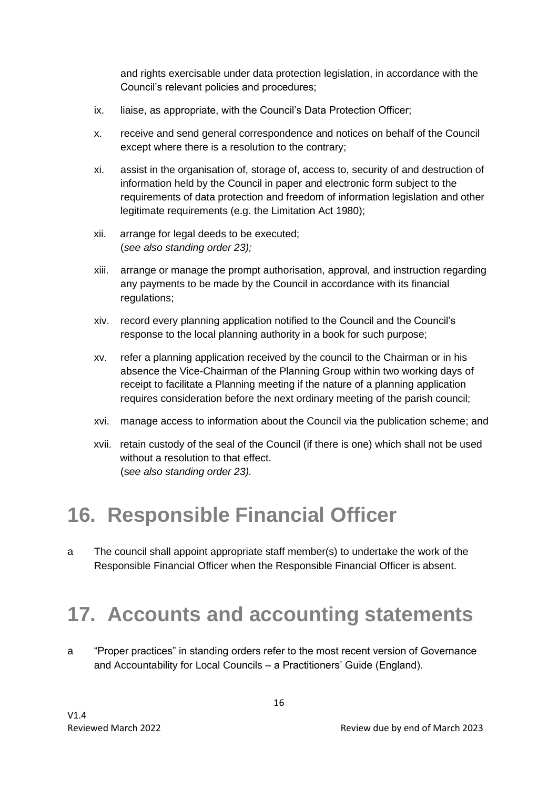and rights exercisable under data protection legislation, in accordance with the Council's relevant policies and procedures;

- ix. liaise, as appropriate, with the Council's Data Protection Officer;
- x. receive and send general correspondence and notices on behalf of the Council except where there is a resolution to the contrary;
- xi. assist in the organisation of, storage of, access to, security of and destruction of information held by the Council in paper and electronic form subject to the requirements of data protection and freedom of information legislation and other legitimate requirements (e.g. the Limitation Act 1980);
- xii. arrange for legal deeds to be executed; (*see also standing order 23);*
- xiii. arrange or manage the prompt authorisation, approval, and instruction regarding any payments to be made by the Council in accordance with its financial regulations;
- xiv. record every planning application notified to the Council and the Council's response to the local planning authority in a book for such purpose;
- xv. refer a planning application received by the council to the Chairman or in his absence the Vice-Chairman of the Planning Group within two working days of receipt to facilitate a Planning meeting if the nature of a planning application requires consideration before the next ordinary meeting of the parish council;
- xvi. manage access to information about the Council via the publication scheme; and
- xvii. retain custody of the seal of the Council (if there is one) which shall not be used without a resolution to that effect. (s*ee also standing order 23).*

### **16. Responsible Financial Officer**

a The council shall appoint appropriate staff member(s) to undertake the work of the Responsible Financial Officer when the Responsible Financial Officer is absent.

#### **17. Accounts and accounting statements**

a "Proper practices" in standing orders refer to the most recent version of Governance and Accountability for Local Councils – a Practitioners' Guide (England).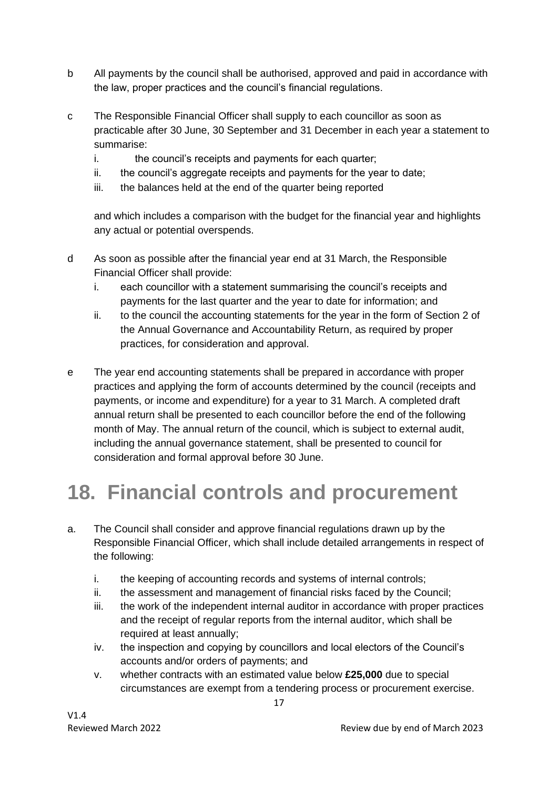- b All payments by the council shall be authorised, approved and paid in accordance with the law, proper practices and the council's financial regulations.
- c The Responsible Financial Officer shall supply to each councillor as soon as practicable after 30 June, 30 September and 31 December in each year a statement to summarise:
	- i. the council's receipts and payments for each quarter;
	- ii. the council's aggregate receipts and payments for the year to date:
	- iii. the balances held at the end of the quarter being reported

and which includes a comparison with the budget for the financial year and highlights any actual or potential overspends.

- d As soon as possible after the financial year end at 31 March, the Responsible Financial Officer shall provide:
	- i. each councillor with a statement summarising the council's receipts and payments for the last quarter and the year to date for information; and
	- ii. to the council the accounting statements for the year in the form of Section 2 of the Annual Governance and Accountability Return, as required by proper practices, for consideration and approval.
- e The year end accounting statements shall be prepared in accordance with proper practices and applying the form of accounts determined by the council (receipts and payments, or income and expenditure) for a year to 31 March. A completed draft annual return shall be presented to each councillor before the end of the following month of May. The annual return of the council, which is subject to external audit, including the annual governance statement, shall be presented to council for consideration and formal approval before 30 June.

### **18. Financial controls and procurement**

- a. The Council shall consider and approve financial regulations drawn up by the Responsible Financial Officer, which shall include detailed arrangements in respect of the following:
	- i. the keeping of accounting records and systems of internal controls;
	- ii. the assessment and management of financial risks faced by the Council;
	- iii. the work of the independent internal auditor in accordance with proper practices and the receipt of regular reports from the internal auditor, which shall be required at least annually;
	- iv. the inspection and copying by councillors and local electors of the Council's accounts and/or orders of payments; and
	- v. whether contracts with an estimated value below **£25,000** due to special circumstances are exempt from a tendering process or procurement exercise.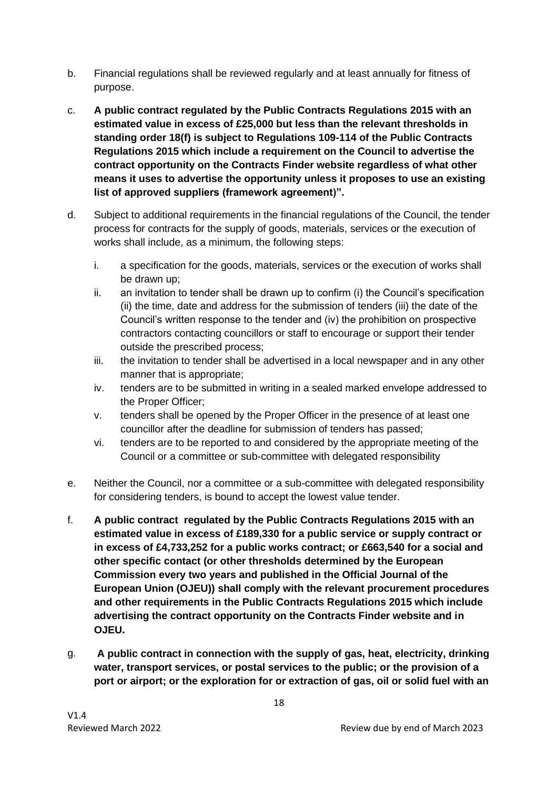- b. Financial regulations shall be reviewed regularly and at least annually for fitness of purpose.
- c. **A public contract regulated by the Public Contracts Regulations 2015 with an estimated value in excess of £25,000 but less than the relevant thresholds in standing order 18(f) is subject to Regulations 109-114 of the Public Contracts Regulations 2015 which include a requirement on the Council to advertise the contract opportunity on the Contracts Finder website regardless of what other means it uses to advertise the opportunity unless it proposes to use an existing list of approved suppliers (framework agreement)".**
- d. Subject to additional requirements in the financial regulations of the Council, the tender process for contracts for the supply of goods, materials, services or the execution of works shall include, as a minimum, the following steps:
	- i. a specification for the goods, materials, services or the execution of works shall be drawn up;
	- ii. an invitation to tender shall be drawn up to confirm (i) the Council's specification (ii) the time, date and address for the submission of tenders (iii) the date of the Council's written response to the tender and (iv) the prohibition on prospective contractors contacting councillors or staff to encourage or support their tender outside the prescribed process;
	- iii. the invitation to tender shall be advertised in a local newspaper and in any other manner that is appropriate;
	- iv. tenders are to be submitted in writing in a sealed marked envelope addressed to the Proper Officer;
	- v. tenders shall be opened by the Proper Officer in the presence of at least one councillor after the deadline for submission of tenders has passed;
	- vi. tenders are to be reported to and considered by the appropriate meeting of the Council or a committee or sub-committee with delegated responsibility
- e. Neither the Council, nor a committee or a sub-committee with delegated responsibility for considering tenders, is bound to accept the lowest value tender.
- f. **A public contract regulated by the Public Contracts Regulations 2015 with an estimated value in excess of £189,330 for a public service or supply contract or in excess of £4,733,252 for a public works contract; or £663,540 for a social and other specific contact (or other thresholds determined by the European Commission every two years and published in the Official Journal of the European Union (OJEU)) shall comply with the relevant procurement procedures and other requirements in the Public Contracts Regulations 2015 which include advertising the contract opportunity on the Contracts Finder website and in OJEU.**
- g. **A public contract in connection with the supply of gas, heat, electricity, drinking water, transport services, or postal services to the public; or the provision of a port or airport; or the exploration for or extraction of gas, oil or solid fuel with an**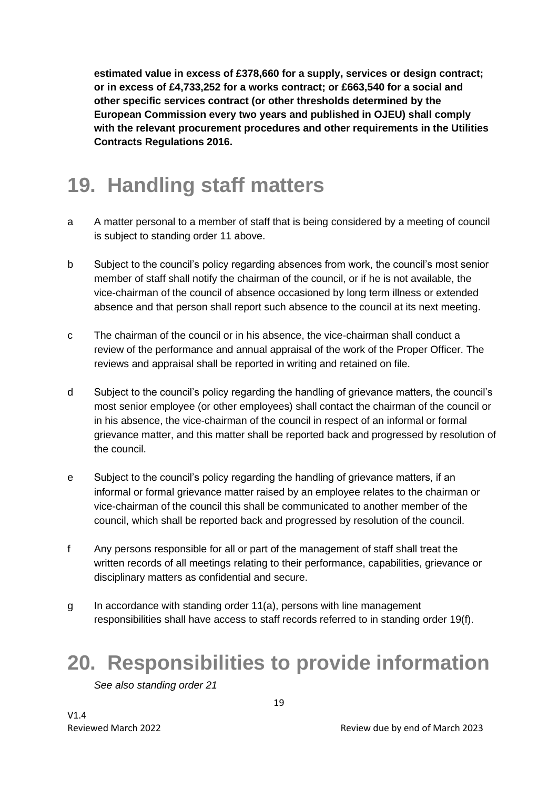**estimated value in excess of £378,660 for a supply, services or design contract; or in excess of £4,733,252 for a works contract; or £663,540 for a social and other specific services contract (or other thresholds determined by the European Commission every two years and published in OJEU) shall comply with the relevant procurement procedures and other requirements in the Utilities Contracts Regulations 2016.**

#### **19. Handling staff matters**

- a A matter personal to a member of staff that is being considered by a meeting of council is subject to standing order 11 above.
- b Subject to the council's policy regarding absences from work, the council's most senior member of staff shall notify the chairman of the council, or if he is not available, the vice-chairman of the council of absence occasioned by long term illness or extended absence and that person shall report such absence to the council at its next meeting.
- c The chairman of the council or in his absence, the vice-chairman shall conduct a review of the performance and annual appraisal of the work of the Proper Officer. The reviews and appraisal shall be reported in writing and retained on file.
- d Subject to the council's policy regarding the handling of grievance matters, the council's most senior employee (or other employees) shall contact the chairman of the council or in his absence, the vice-chairman of the council in respect of an informal or formal grievance matter, and this matter shall be reported back and progressed by resolution of the council.
- e Subject to the council's policy regarding the handling of grievance matters, if an informal or formal grievance matter raised by an employee relates to the chairman or vice-chairman of the council this shall be communicated to another member of the council, which shall be reported back and progressed by resolution of the council.
- f Any persons responsible for all or part of the management of staff shall treat the written records of all meetings relating to their performance, capabilities, grievance or disciplinary matters as confidential and secure.
- g In accordance with standing order 11(a), persons with line management responsibilities shall have access to staff records referred to in standing order 19(f).

#### **20. Responsibilities to provide information**

*See also standing order 21*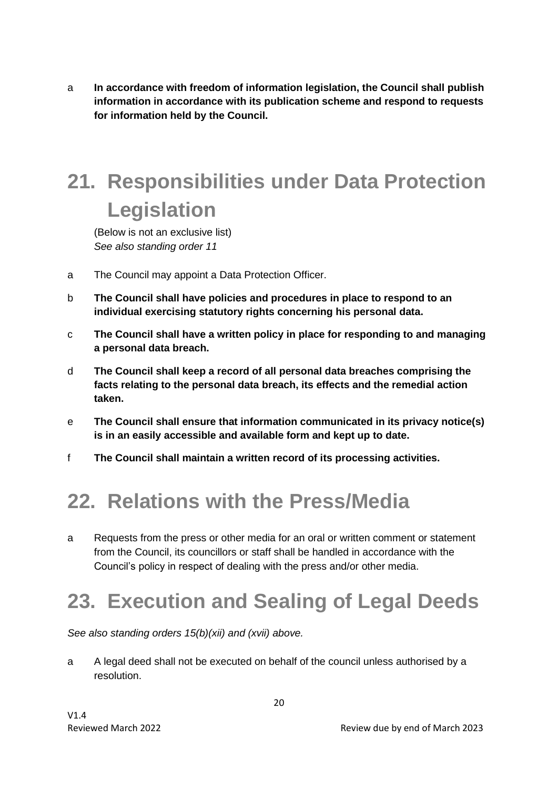a **In accordance with freedom of information legislation, the Council shall publish information in accordance with its publication scheme and respond to requests for information held by the Council.** 

## **21. Responsibilities under Data Protection Legislation**

(Below is not an exclusive list) *See also standing order 11*

- a The Council may appoint a Data Protection Officer.
- b **The Council shall have policies and procedures in place to respond to an individual exercising statutory rights concerning his personal data.**
- c **The Council shall have a written policy in place for responding to and managing a personal data breach.**
- d **The Council shall keep a record of all personal data breaches comprising the facts relating to the personal data breach, its effects and the remedial action taken.**
- e **The Council shall ensure that information communicated in its privacy notice(s) is in an easily accessible and available form and kept up to date.**
- f **The Council shall maintain a written record of its processing activities.**

#### **22. Relations with the Press/Media**

a Requests from the press or other media for an oral or written comment or statement from the Council, its councillors or staff shall be handled in accordance with the Council's policy in respect of dealing with the press and/or other media.

### **23. Execution and Sealing of Legal Deeds**

*See also standing orders 15(b)(xii) and (xvii) above.*

a A legal deed shall not be executed on behalf of the council unless authorised by a resolution.